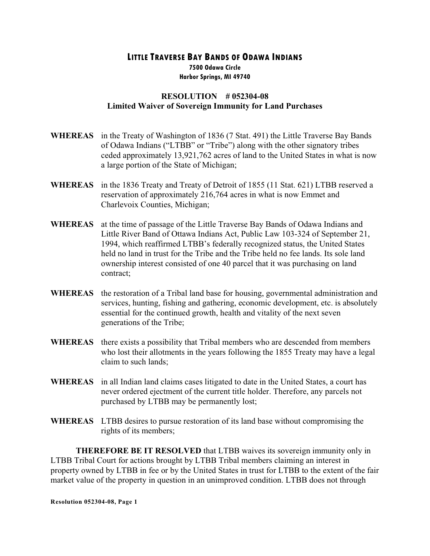## **LITTLE TRAVERSE BAY BANDS OF ODAWA INDIANS 7500 Odawa Circle Harbor Springs, MI 49740**

## **RESOLUTION # 052304-08 Limited Waiver of Sovereign Immunity for Land Purchases**

- **WHEREAS** in the Treaty of Washington of 1836 (7 Stat. 491) the Little Traverse Bay Bands of Odawa Indians ("LTBB" or "Tribe") along with the other signatory tribes ceded approximately 13,921,762 acres of land to the United States in what is now a large portion of the State of Michigan;
- **WHEREAS** in the 1836 Treaty and Treaty of Detroit of 1855 (11 Stat. 621) LTBB reserved a reservation of approximately 216,764 acres in what is now Emmet and Charlevoix Counties, Michigan;
- **WHEREAS** at the time of passage of the Little Traverse Bay Bands of Odawa Indians and Little River Band of Ottawa Indians Act, Public Law 103-324 of September 21, 1994, which reaffirmed LTBB's federally recognized status, the United States held no land in trust for the Tribe and the Tribe held no fee lands. Its sole land ownership interest consisted of one 40 parcel that it was purchasing on land contract;
- **WHEREAS** the restoration of a Tribal land base for housing, governmental administration and services, hunting, fishing and gathering, economic development, etc. is absolutely essential for the continued growth, health and vitality of the next seven generations of the Tribe;
- **WHEREAS** there exists a possibility that Tribal members who are descended from members who lost their allotments in the years following the 1855 Treaty may have a legal claim to such lands;
- **WHEREAS** in all Indian land claims cases litigated to date in the United States, a court has never ordered ejectment of the current title holder. Therefore, any parcels not purchased by LTBB may be permanently lost;
- **WHEREAS** LTBB desires to pursue restoration of its land base without compromising the rights of its members;

**THEREFORE BE IT RESOLVED** that LTBB waives its sovereign immunity only in LTBB Tribal Court for actions brought by LTBB Tribal members claiming an interest in property owned by LTBB in fee or by the United States in trust for LTBB to the extent of the fair market value of the property in question in an unimproved condition. LTBB does not through